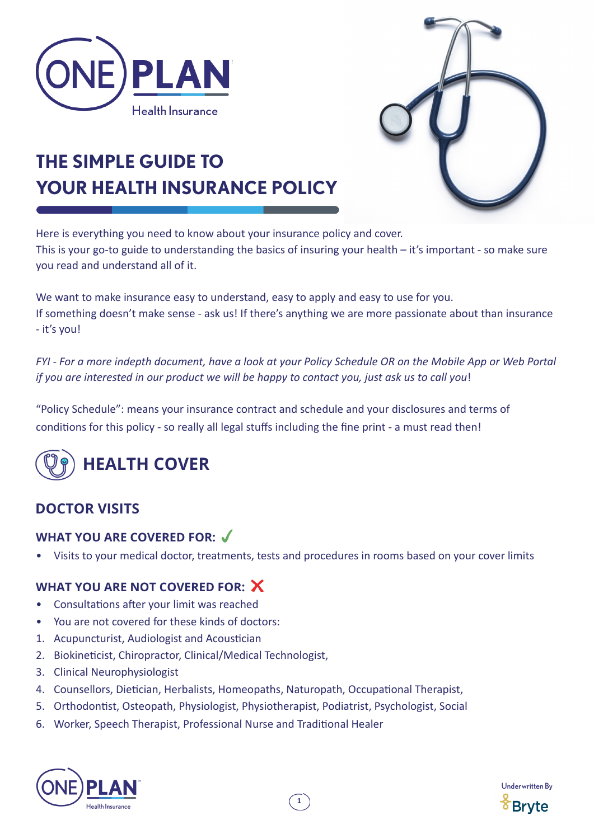



# **THE SIMPLE GUIDE TO YOUR HEALTH INSURANCE POLICY**

Here is everything you need to know about your insurance policy and cover. This is your go-to guide to understanding the basics of insuring your health – it's important - so make sure you read and understand all of it.

We want to make insurance easy to understand, easy to apply and easy to use for you. If something doesn't make sense - ask us! If there's anything we are more passionate about than insurance - it's you!

*FYI - For a more indepth document, have a look at your Policy Schedule OR on the Mobile App or Web Portal if you are interested in our product we will be happy to contact you, just ask us to call you*!

"Policy Schedule": means your insurance contract and schedule and your disclosures and terms of conditions for this policy - so really all legal stuffs including the fine print - a must read then!



# **DOCTOR VISITS**

# **WHAT YOU ARE COVERED FOR:**

• Visits to your medical doctor, treatments, tests and procedures in rooms based on your cover limits

- Consultations after your limit was reached
- You are not covered for these kinds of doctors:
- 1. Acupuncturist, Audiologist and Acoustician
- 2. Biokineticist, Chiropractor, Clinical/Medical Technologist,
- 3. Clinical Neurophysiologist
- 4. Counsellors, Dietician, Herbalists, Homeopaths, Naturopath, Occupational Therapist,
- 5. Orthodontist, Osteopath, Physiologist, Physiotherapist, Podiatrist, Psychologist, Social
- 6. Worker, Speech Therapist, Professional Nurse and Traditional Healer



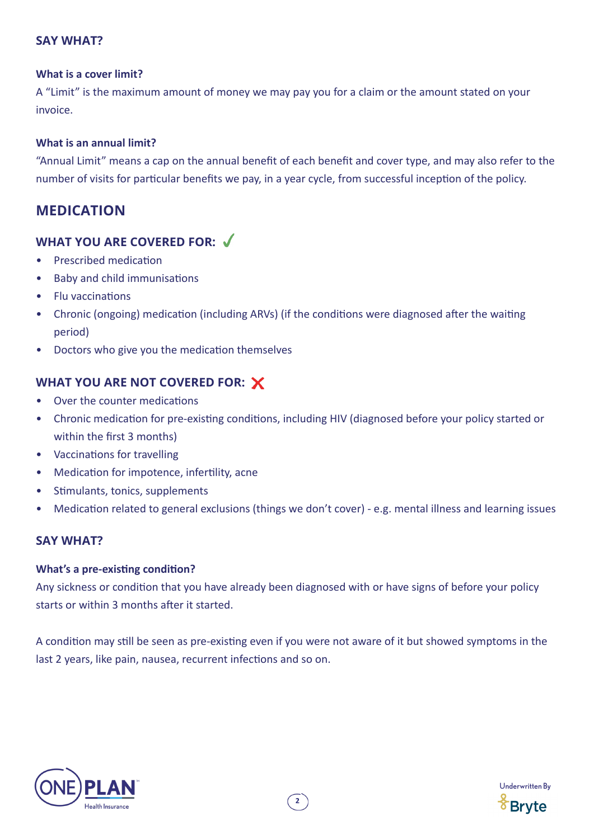### **SAY WHAT?**

#### **What is a cover limit?**

A "Limit" is the maximum amount of money we may pay you for a claim or the amount stated on your invoice.

#### **What is an annual limit?**

"Annual Limit" means a cap on the annual benefit of each benefit and cover type, and may also refer to the number of visits for particular benefits we pay, in a year cycle, from successful inception of the policy.

# **MEDICATION**

# **WHAT YOU ARE COVERED FOR:**

- Prescribed medication
- Baby and child immunisations
- Flu vaccinations
- Chronic (ongoing) medication (including ARVs) (if the conditions were diagnosed after the waiting period)
- Doctors who give you the medication themselves

# **WHAT YOU ARE NOT COVERED FOR:**

- Over the counter medications
- Chronic medication for pre-existing conditions, including HIV (diagnosed before your policy started or within the first 3 months)
- Vaccinations for travelling
- Medication for impotence, infertility, acne
- Stimulants, tonics, supplements
- Medication related to general exclusions (things we don't cover) e.g. mental illness and learning issues

### **SAY WHAT?**

#### **What's a pre-existing condition?**

Any sickness or condition that you have already been diagnosed with or have signs of before your policy starts or within 3 months after it started.

A condition may still be seen as pre-existing even if you were not aware of it but showed symptoms in the last 2 years, like pain, nausea, recurrent infections and so on.



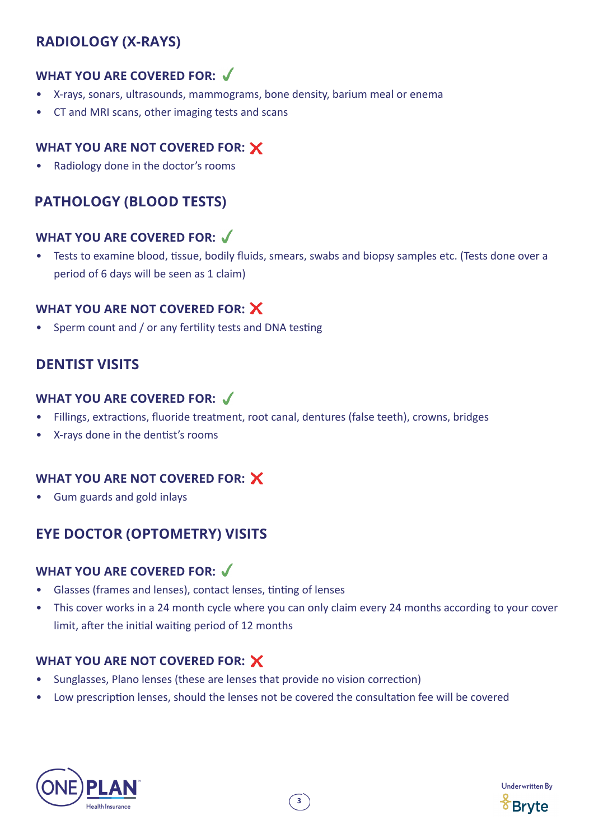# **RADIOLOGY (X-RAYS)**

# **WHAT YOU ARE COVERED FOR:**

- X-rays, sonars, ultrasounds, mammograms, bone density, barium meal or enema
- CT and MRI scans, other imaging tests and scans

# **WHAT YOU ARE NOT COVERED FOR:**

• Radiology done in the doctor's rooms

# **PATHOLOGY (BLOOD TESTS)**

# **WHAT YOU ARE COVERED FOR:**

• Tests to examine blood, tissue, bodily fluids, smears, swabs and biopsy samples etc. (Tests done over a period of 6 days will be seen as 1 claim)

# **WHAT YOU ARE NOT COVERED FOR:**

• Sperm count and / or any fertility tests and DNA testing

# **DENTIST VISITS**

### **WHAT YOU ARE COVERED FOR:**

- Fillings, extractions, fluoride treatment, root canal, dentures (false teeth), crowns, bridges
- X-rays done in the dentist's rooms

# **WHAT YOU ARE NOT COVERED FOR:**

• Gum guards and gold inlays

# **EYE DOCTOR (OPTOMETRY) VISITS**

# **WHAT YOU ARE COVERED FOR:**

- Glasses (frames and lenses), contact lenses, tinting of lenses
- This cover works in a 24 month cycle where you can only claim every 24 months according to your cover limit, after the initial waiting period of 12 months

- Sunglasses, Plano lenses (these are lenses that provide no vision correction)
- Low prescription lenses, should the lenses not be covered the consultation fee will be covered



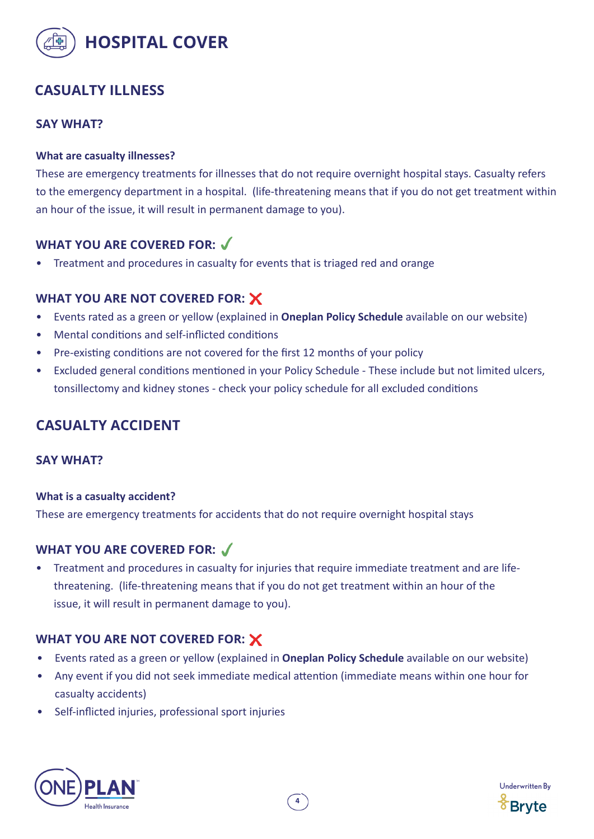

# **CASUALTY ILLNESS**

### **SAY WHAT?**

#### **What are casualty illnesses?**

These are emergency treatments for illnesses that do not require overnight hospital stays. Casualty refers to the emergency department in a hospital. (life-threatening means that if you do not get treatment within an hour of the issue, it will result in permanent damage to you).

### **WHAT YOU ARE COVERED FOR:**

• Treatment and procedures in casualty for events that is triaged red and orange

### **WHAT YOU ARE NOT COVERED FOR:**

- Events rated as a green or yellow (explained in **Oneplan Policy Schedule** available on our website)
- Mental conditions and self-inflicted conditions
- Pre-existing conditions are not covered for the first 12 months of your policy
- Excluded general conditions mentioned in your Policy Schedule These include but not limited ulcers, tonsillectomy and kidney stones - check your policy schedule for all excluded conditions

# **CASUALTY ACCIDENT**

#### **SAY WHAT?**

#### **What is a casualty accident?**

These are emergency treatments for accidents that do not require overnight hospital stays

### **WHAT YOU ARE COVERED FOR:**

• Treatment and procedures in casualty for injuries that require immediate treatment and are lifethreatening. (life-threatening means that if you do not get treatment within an hour of the issue, it will result in permanent damage to you).

- Events rated as a green or yellow (explained in **Oneplan Policy Schedule** available on our website)
- Any event if you did not seek immediate medical attention (immediate means within one hour for casualty accidents)
- Self-inflicted injuries, professional sport injuries



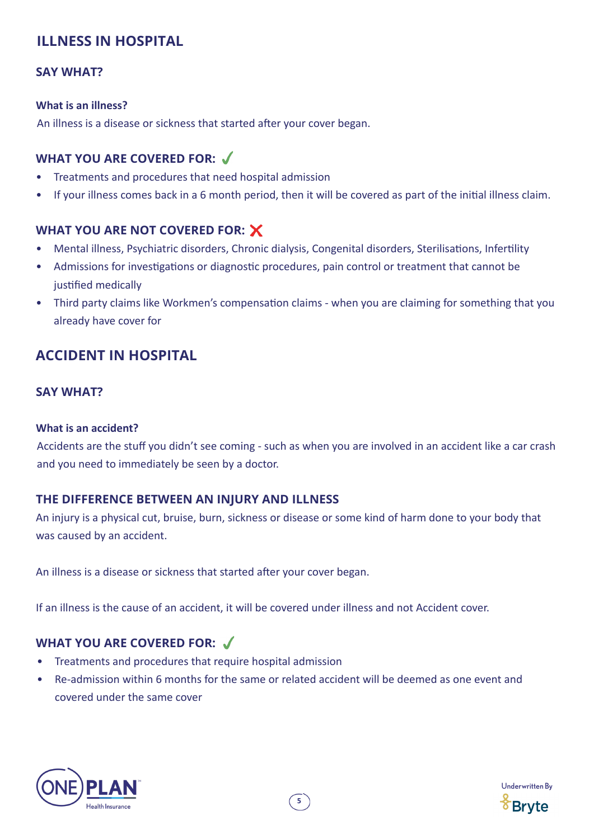# **ILLNESS IN HOSPITAL**

### **SAY WHAT?**

#### **What is an illness?**

An illness is a disease or sickness that started after your cover began.

# **WHAT YOU ARE COVERED FOR:**

- Treatments and procedures that need hospital admission
- If your illness comes back in a 6 month period, then it will be covered as part of the initial illness claim.

# **WHAT YOU ARE NOT COVERED FOR:**

- Mental illness, Psychiatric disorders, Chronic dialysis, Congenital disorders, Sterilisations, Infertility
- Admissions for investigations or diagnostic procedures, pain control or treatment that cannot be justified medically
- Third party claims like Workmen's compensation claims when you are claiming for something that you already have cover for

# **ACCIDENT IN HOSPITAL**

### **SAY WHAT?**

#### **What is an accident?**

Accidents are the stuff you didn't see coming - such as when you are involved in an accident like a car crash and you need to immediately be seen by a doctor.

### **THE DIFFERENCE BETWEEN AN INJURY AND ILLNESS**

An injury is a physical cut, bruise, burn, sickness or disease or some kind of harm done to your body that was caused by an accident.

An illness is a disease or sickness that started after your cover began.

If an illness is the cause of an accident, it will be covered under illness and not Accident cover.

- Treatments and procedures that require hospital admission
- Re-admission within 6 months for the same or related accident will be deemed as one event and covered under the same cover



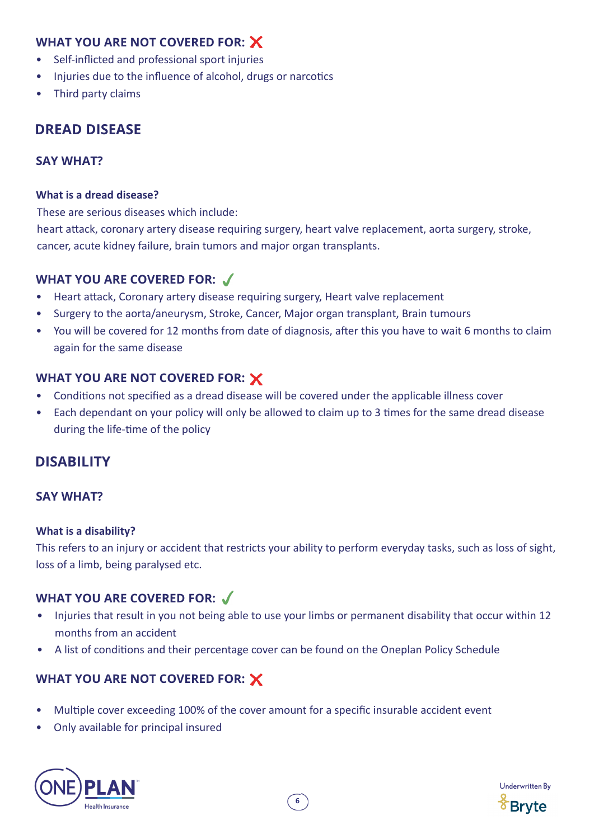### **WHAT YOU ARE NOT COVERED FOR:**

- Self-inflicted and professional sport injuries
- Injuries due to the influence of alcohol, drugs or narcotics
- Third party claims

# **DREAD DISEASE**

### **SAY WHAT?**

#### **What is a dread disease?**

These are serious diseases which include:

heart attack, coronary artery disease requiring surgery, heart valve replacement, aorta surgery, stroke, cancer, acute kidney failure, brain tumors and major organ transplants.

### **WHAT YOU ARE COVERED FOR:**

- Heart attack, Coronary artery disease requiring surgery, Heart valve replacement
- Surgery to the aorta/aneurysm, Stroke, Cancer, Major organ transplant, Brain tumours
- You will be covered for 12 months from date of diagnosis, after this you have to wait 6 months to claim again for the same disease

### **WHAT YOU ARE NOT COVERED FOR:**

- Conditions not specified as a dread disease will be covered under the applicable illness cover
- Each dependant on your policy will only be allowed to claim up to 3 times for the same dread disease during the life-time of the policy

# **DISABILITY**

### **SAY WHAT?**

#### **What is a disability?**

This refers to an injury or accident that restricts your ability to perform everyday tasks, such as loss of sight, loss of a limb, being paralysed etc.

# **WHAT YOU ARE COVERED FOR:**

- Injuries that result in you not being able to use your limbs or permanent disability that occur within 12 months from an accident
- A list of conditions and their percentage cover can be found on the Oneplan Policy Schedule

- Multiple cover exceeding 100% of the cover amount for a specific insurable accident event
- Only available for principal insured



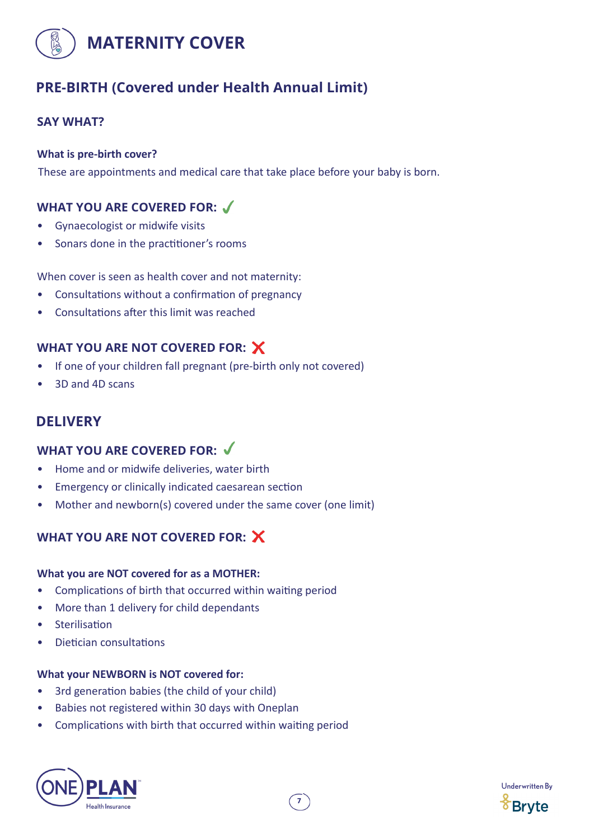

# **PRE-BIRTH (Covered under Health Annual Limit)**

### **SAY WHAT?**

#### **What is pre-birth cover?**

These are appointments and medical care that take place before your baby is born.

### **WHAT YOU ARE COVERED FOR:**

- Gynaecologist or midwife visits
- Sonars done in the practitioner's rooms

When cover is seen as health cover and not maternity:

- Consultations without a confirmation of pregnancy
- Consultations after this limit was reached

### **WHAT YOU ARE NOT COVERED FOR:**

- If one of your children fall pregnant (pre-birth only not covered)
- 3D and 4D scans

# **DELIVERY**

### **WHAT YOU ARE COVERED FOR:**

- Home and or midwife deliveries, water birth
- Emergency or clinically indicated caesarean section
- Mother and newborn(s) covered under the same cover (one limit)

# **WHAT YOU ARE NOT COVERED FOR:**

#### **What you are NOT covered for as a MOTHER:**

- Complications of birth that occurred within waiting period
- More than 1 delivery for child dependants
- **Sterilisation**
- Dietician consultations

#### **What your NEWBORN is NOT covered for:**

- 3rd generation babies (the child of your child)
- Babies not registered within 30 days with Oneplan
- Complications with birth that occurred within waiting period



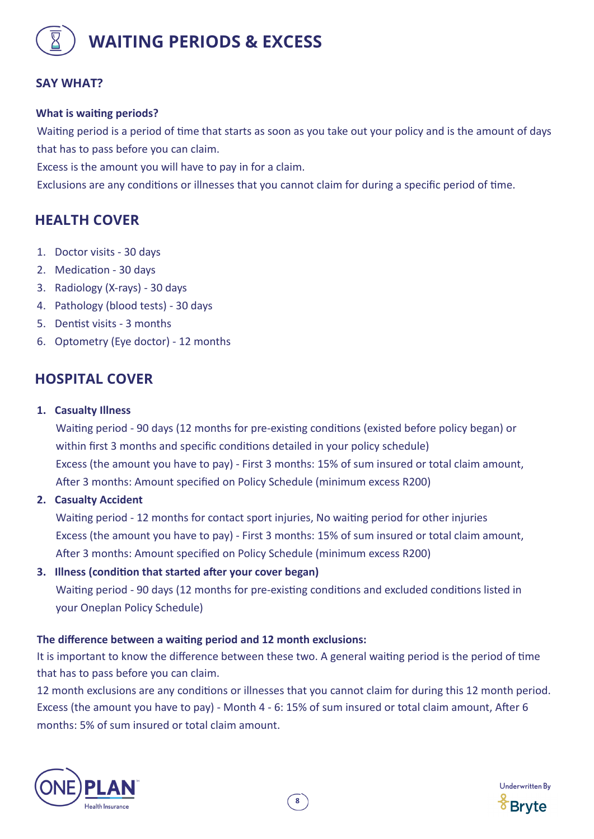

### **SAY WHAT?**

#### **What is waiting periods?**

Waiting period is a period of time that starts as soon as you take out your policy and is the amount of days that has to pass before you can claim.

Excess is the amount you will have to pay in for a claim.

Exclusions are any conditions or illnesses that you cannot claim for during a specific period of time.

# **HEALTH COVER**

- 1. Doctor visits 30 days
- 2. Medication 30 days
- 3. Radiology (X-rays) 30 days
- 4. Pathology (blood tests) 30 days
- 5. Dentist visits 3 months
- 6. Optometry (Eye doctor) 12 months

### **HOSPITAL COVER**

**1. Casualty Illness** 

 Waiting period - 90 days (12 months for pre-existing conditions (existed before policy began) or within first 3 months and specific conditions detailed in your policy schedule) Excess (the amount you have to pay) - First 3 months: 15% of sum insured or total claim amount, After 3 months: Amount specified on Policy Schedule (minimum excess R200)

**2. Casualty Accident** 

 Waiting period - 12 months for contact sport injuries, No waiting period for other injuries Excess (the amount you have to pay) - First 3 months: 15% of sum insured or total claim amount, After 3 months: Amount specified on Policy Schedule (minimum excess R200)

**3. Illness (condition that started after your cover began)**

 Waiting period - 90 days (12 months for pre-existing conditions and excluded conditions listed in your Oneplan Policy Schedule)

#### **The difference between a waiting period and 12 month exclusions:**

It is important to know the difference between these two. A general waiting period is the period of time that has to pass before you can claim.

12 month exclusions are any conditions or illnesses that you cannot claim for during this 12 month period. Excess (the amount you have to pay) - Month 4 - 6: 15% of sum insured or total claim amount, After 6 months: 5% of sum insured or total claim amount.



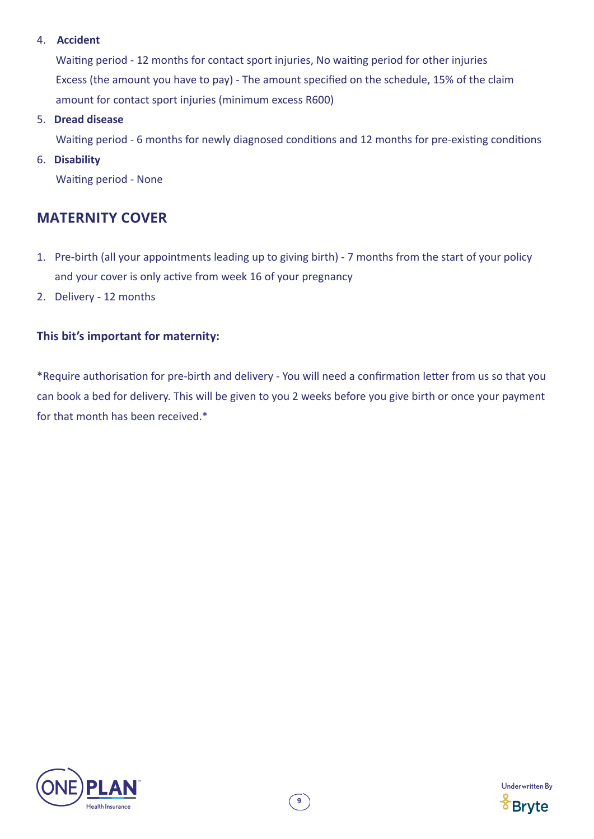#### 4. **Accident**

 Waiting period - 12 months for contact sport injuries, No waiting period for other injuries Excess (the amount you have to pay) - The amount specified on the schedule, 15% of the claim amount for contact sport injuries (minimum excess R600)

5. **Dread disease**

Waiting period - 6 months for newly diagnosed conditions and 12 months for pre-existing conditions

#### 6. **Disability**

Waiting period - None

# **MATERNITY COVER**

- 1. Pre-birth (all your appointments leading up to giving birth) 7 months from the start of your policy and your cover is only active from week 16 of your pregnancy
- 2. Delivery 12 months

### **This bit's important for maternity:**

\*Require authorisation for pre-birth and delivery - You will need a confirmation letter from us so that you can book a bed for delivery. This will be given to you 2 weeks before you give birth or once your payment for that month has been received.\*